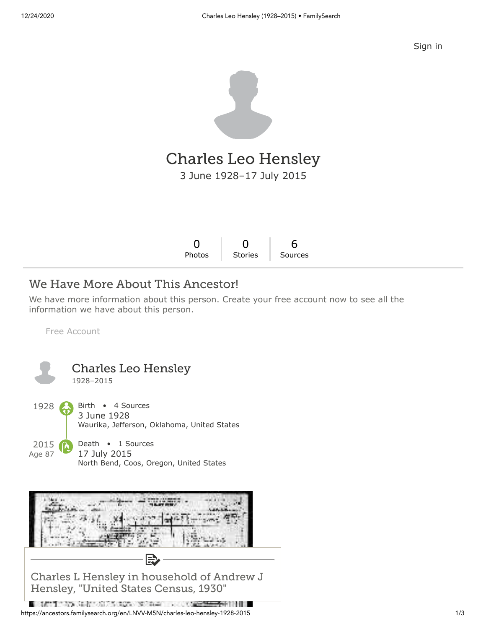[Sign in](https://www.familysearch.org/tree/person/details/LNVV-M5N?icid=amp_hdr_signin)



# Charles Leo Hensley

3 June 1928–17 July 2015

| Photos Stories Sources |
|------------------------|

# We Have More About This Ancestor!

We have more information about this person. Create your free account now to see all the information we have about this person.

[Free Account](https://www.familysearch.org/register/?state=https://ancestors.familysearch.org/en/LNVV-M5N/charles-leo-hensley-1928-2015&icid=amp_bdy_account1)



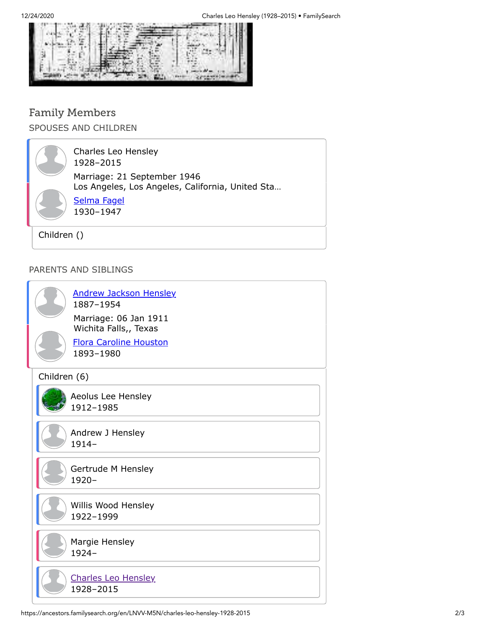

### Family Members SPOUSES AND CHILDREN

Charles Leo Hensley 1928–2015 [Selma Fagel](https://ancestors.familysearch.org/en/LZB5-MZL/selma-fagel-1930-1947) 1930–1947 Marriage: 21 September 1946 Los Angeles, Los Angeles, California, United Sta…

Children ()

#### PARENTS AND SIBLINGS

| <b>Andrew Jackson Hensley</b><br>1887-1954<br>Marriage: 06 Jan 1911<br>Wichita Falls,, Texas<br><b>Flora Caroline Houston</b><br>1893-1980 |
|--------------------------------------------------------------------------------------------------------------------------------------------|
| Children (6)                                                                                                                               |
| Aeolus Lee Hensley<br>1912-1985                                                                                                            |
| Andrew J Hensley<br>$1914 -$                                                                                                               |
| Gertrude M Hensley<br>$1920 -$                                                                                                             |
| Willis Wood Hensley<br>1922-1999                                                                                                           |
| Margie Hensley<br>1924-                                                                                                                    |
| <b>Charles Leo Hensley</b><br>1928-2015                                                                                                    |